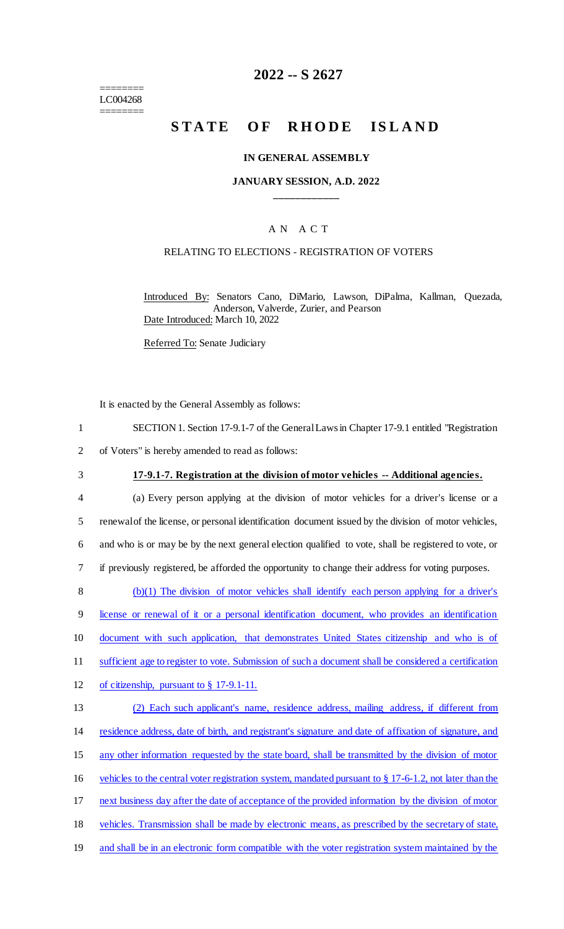======== LC004268 ========

# **2022 -- S 2627**

# **STATE OF RHODE ISLAND**

#### **IN GENERAL ASSEMBLY**

#### **JANUARY SESSION, A.D. 2022 \_\_\_\_\_\_\_\_\_\_\_\_**

## A N A C T

#### RELATING TO ELECTIONS - REGISTRATION OF VOTERS

Introduced By: Senators Cano, DiMario, Lawson, DiPalma, Kallman, Quezada, Anderson, Valverde, Zurier, and Pearson Date Introduced: March 10, 2022

Referred To: Senate Judiciary

It is enacted by the General Assembly as follows:

- 1 SECTION 1. Section 17-9.1-7 of the General Laws in Chapter 17-9.1 entitled "Registration
- 2 of Voters" is hereby amended to read as follows:
- 

#### 3 **17-9.1-7. Registration at the division of motor vehicles -- Additional agencies.**

 (a) Every person applying at the division of motor vehicles for a driver's license or a 5 renewal of the license, or personal identification document issued by the division of motor vehicles, and who is or may be by the next general election qualified to vote, shall be registered to vote, or if previously registered, be afforded the opportunity to change their address for voting purposes. (b)(1) The division of motor vehicles shall identify each person applying for a driver's license or renewal of it or a personal identification document, who provides an identification

10 document with such application, that demonstrates United States citizenship and who is of

11 sufficient age to register to vote. Submission of such a document shall be considered a certification

12 of citizenship, pursuant to § 17-9.1-11.

| 13 | (2) Each such applicant's name, residence address, mailing address, if different from                      |
|----|------------------------------------------------------------------------------------------------------------|
| 14 | residence address, date of birth, and registrant's signature and date of affixation of signature, and      |
| 15 | any other information requested by the state board, shall be transmitted by the division of motor          |
| 16 | vehicles to the central voter registration system, mandated pursuant to $\S 17-6-1.2$ , not later than the |
| 17 | next business day after the date of acceptance of the provided information by the division of motor        |
| 18 | vehicles. Transmission shall be made by electronic means, as prescribed by the secretary of state,         |
| 19 | and shall be in an electronic form compatible with the voter registration system maintained by the         |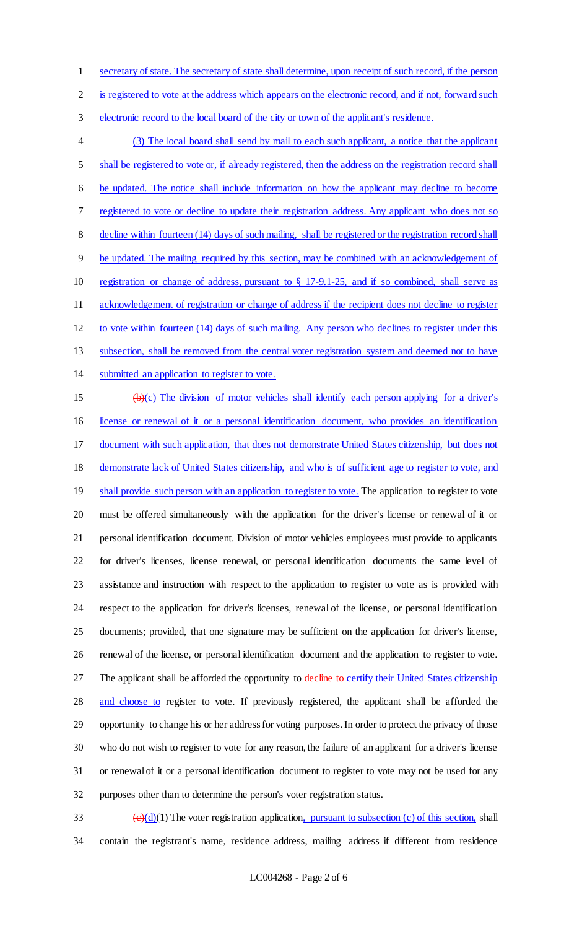secretary of state. The secretary of state shall determine, upon receipt of such record, if the person

2 is registered to vote at the address which appears on the electronic record, and if not, forward such

electronic record to the local board of the city or town of the applicant's residence.

 (3) The local board shall send by mail to each such applicant, a notice that the applicant shall be registered to vote or, if already registered, then the address on the registration record shall be updated. The notice shall include information on how the applicant may decline to become registered to vote or decline to update their registration address. Any applicant who does not so decline within fourteen (14) days of such mailing, shall be registered or the registration record shall be updated. The mailing required by this section, may be combined with an acknowledgement of registration or change of address, pursuant to § 17-9.1-25, and if so combined, shall serve as acknowledgement of registration or change of address if the recipient does not decline to register to vote within fourteen (14) days of such mailing. Any person who declines to register under this 13 subsection, shall be removed from the central voter registration system and deemed not to have 14 submitted an application to register to vote. (b)(c) The division of motor vehicles shall identify each person applying for a driver's license or renewal of it or a personal identification document, who provides an identification document with such application, that does not demonstrate United States citizenship, but does not demonstrate lack of United States citizenship, and who is of sufficient age to register to vote, and 19 shall provide such person with an application to register to vote. The application to register to vote must be offered simultaneously with the application for the driver's license or renewal of it or personal identification document. Division of motor vehicles employees must provide to applicants for driver's licenses, license renewal, or personal identification documents the same level of assistance and instruction with respect to the application to register to vote as is provided with respect to the application for driver's licenses, renewal of the license, or personal identification documents; provided, that one signature may be sufficient on the application for driver's license, renewal of the license, or personal identification document and the application to register to vote. 27 The applicant shall be afforded the opportunity to decline to certify their United States citizenship and choose to register to vote. If previously registered, the applicant shall be afforded the opportunity to change his or her address for voting purposes. In order to protect the privacy of those who do not wish to register to vote for any reason, the failure of an applicant for a driver's license or renewal of it or a personal identification document to register to vote may not be used for any purposes other than to determine the person's voter registration status.

33  $\left(\frac{e}{d}\right)(1)$  The voter registration application, pursuant to subsection (c) of this section, shall contain the registrant's name, residence address, mailing address if different from residence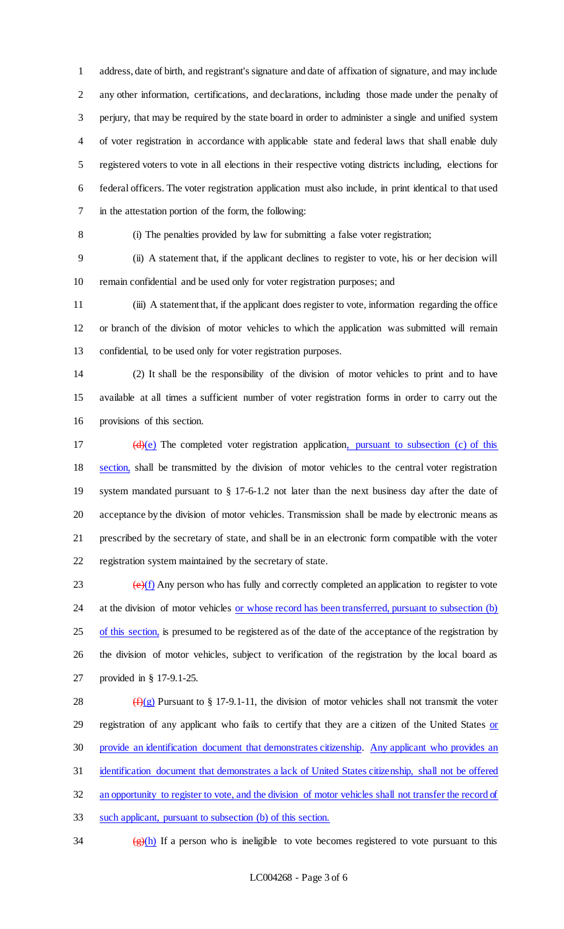address, date of birth, and registrant's signature and date of affixation of signature, and may include any other information, certifications, and declarations, including those made under the penalty of perjury, that may be required by the state board in order to administer a single and unified system of voter registration in accordance with applicable state and federal laws that shall enable duly registered voters to vote in all elections in their respective voting districts including, elections for federal officers. The voter registration application must also include, in print identical to that used in the attestation portion of the form, the following:

(i) The penalties provided by law for submitting a false voter registration;

 (ii) A statement that, if the applicant declines to register to vote, his or her decision will remain confidential and be used only for voter registration purposes; and

 (iii) A statement that, if the applicant does register to vote, information regarding the office or branch of the division of motor vehicles to which the application was submitted will remain confidential, to be used only for voter registration purposes.

 (2) It shall be the responsibility of the division of motor vehicles to print and to have available at all times a sufficient number of voter registration forms in order to carry out the provisions of this section.

 $(d)(e)$  The completed voter registration application, pursuant to subsection (c) of this 18 section, shall be transmitted by the division of motor vehicles to the central voter registration system mandated pursuant to § 17-6-1.2 not later than the next business day after the date of acceptance by the division of motor vehicles. Transmission shall be made by electronic means as prescribed by the secretary of state, and shall be in an electronic form compatible with the voter registration system maintained by the secretary of state.

 $\left(\frac{e}{f}\right)$  Any person who has fully and correctly completed an application to register to vote 24 at the division of motor vehicles <u>or whose record has been transferred, pursuant to subsection (b)</u> of this section, is presumed to be registered as of the date of the acceptance of the registration by the division of motor vehicles, subject to verification of the registration by the local board as provided in § 17-9.1-25.

 $(f)(g)$  Pursuant to § 17-9.1-11, the division of motor vehicles shall not transmit the voter 29 registration of any applicant who fails to certify that they are a citizen of the United States or provide an identification document that demonstrates citizenship. Any applicant who provides an identification document that demonstrates a lack of United States citizenship, shall not be offered 32 an opportunity to register to vote, and the division of motor vehicles shall not transfer the record of such applicant, pursuant to subsection (b) of this section.

 $\frac{1}{24}$  (g)(h) If a person who is ineligible to vote becomes registered to vote pursuant to this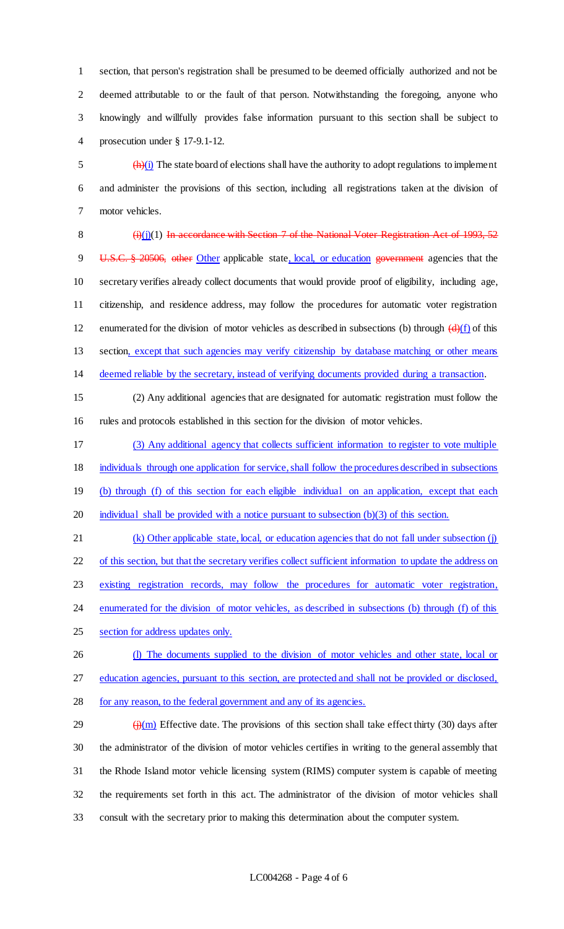section, that person's registration shall be presumed to be deemed officially authorized and not be deemed attributable to or the fault of that person. Notwithstanding the foregoing, anyone who knowingly and willfully provides false information pursuant to this section shall be subject to prosecution under § 17-9.1-12.

 $\frac{1}{2}$  (h)(i) The state board of elections shall have the authority to adopt regulations to implement and administer the provisions of this section, including all registrations taken at the division of motor vehicles.

8  $(i)(j)(1)$  In accordance with Section 7 of the National Voter Registration Act of 1993, 52 9 U.S.C. § 20506, other Other applicable state, local, or education government agencies that the secretary verifies already collect documents that would provide proof of eligibility, including age, citizenship, and residence address, may follow the procedures for automatic voter registration 12 enumerated for the division of motor vehicles as described in subsections (b) through  $\left(\frac{d}{dx}\right)(f)$  of this 13 section, except that such agencies may verify citizenship by database matching or other means deemed reliable by the secretary, instead of verifying documents provided during a transaction.

 (2) Any additional agencies that are designated for automatic registration must follow the rules and protocols established in this section for the division of motor vehicles.

 (3) Any additional agency that collects sufficient information to register to vote multiple individuals through one application for service, shall follow the procedures described in subsections

(b) through (f) of this section for each eligible individual on an application, except that each

20 individual shall be provided with a notice pursuant to subsection (b)(3) of this section.

 (k) Other applicable state, local, or education agencies that do not fall under subsection (j) 22 of this section, but that the secretary verifies collect sufficient information to update the address on existing registration records, may follow the procedures for automatic voter registration, 24 enumerated for the division of motor vehicles, as described in subsections (b) through (f) of this

section for address updates only.

- 26 (l) The documents supplied to the division of motor vehicles and other state, local or education agencies, pursuant to this section, are protected and shall not be provided or disclosed,
- for any reason, to the federal government and any of its agencies.

 $\frac{f(\mathbf{m})}{\mathbf{H}}$  Effective date. The provisions of this section shall take effect thirty (30) days after the administrator of the division of motor vehicles certifies in writing to the general assembly that the Rhode Island motor vehicle licensing system (RIMS) computer system is capable of meeting the requirements set forth in this act. The administrator of the division of motor vehicles shall consult with the secretary prior to making this determination about the computer system.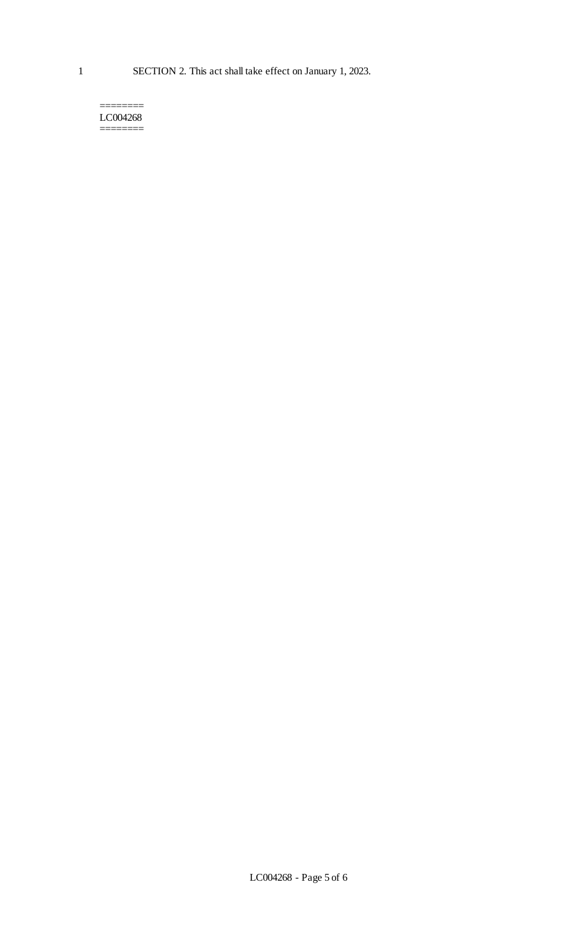======== LC004268 ========